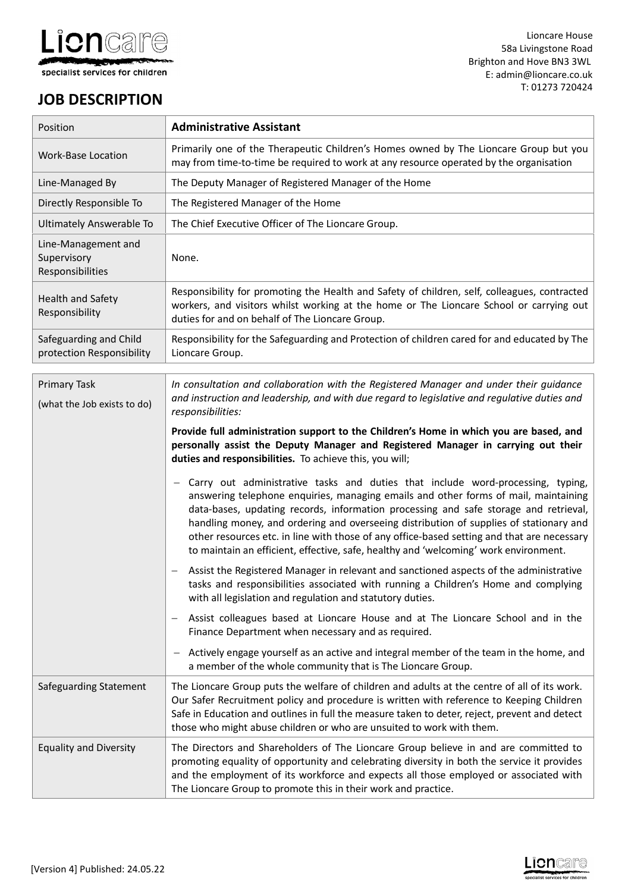

# **JOB DESCRIPTION**

| Position                                               | <b>Administrative Assistant</b>                                                                                                                                                                                                                                                                                                                                                                                                                                                                                                                |
|--------------------------------------------------------|------------------------------------------------------------------------------------------------------------------------------------------------------------------------------------------------------------------------------------------------------------------------------------------------------------------------------------------------------------------------------------------------------------------------------------------------------------------------------------------------------------------------------------------------|
| <b>Work-Base Location</b>                              | Primarily one of the Therapeutic Children's Homes owned by The Lioncare Group but you<br>may from time-to-time be required to work at any resource operated by the organisation                                                                                                                                                                                                                                                                                                                                                                |
| Line-Managed By                                        | The Deputy Manager of Registered Manager of the Home                                                                                                                                                                                                                                                                                                                                                                                                                                                                                           |
| Directly Responsible To                                | The Registered Manager of the Home                                                                                                                                                                                                                                                                                                                                                                                                                                                                                                             |
| Ultimately Answerable To                               | The Chief Executive Officer of The Lioncare Group.                                                                                                                                                                                                                                                                                                                                                                                                                                                                                             |
| Line-Management and<br>Supervisory<br>Responsibilities | None.                                                                                                                                                                                                                                                                                                                                                                                                                                                                                                                                          |
| Health and Safety<br>Responsibility                    | Responsibility for promoting the Health and Safety of children, self, colleagues, contracted<br>workers, and visitors whilst working at the home or The Lioncare School or carrying out<br>duties for and on behalf of The Lioncare Group.                                                                                                                                                                                                                                                                                                     |
| Safeguarding and Child<br>protection Responsibility    | Responsibility for the Safeguarding and Protection of children cared for and educated by The<br>Lioncare Group.                                                                                                                                                                                                                                                                                                                                                                                                                                |
| <b>Primary Task</b><br>(what the Job exists to do)     | In consultation and collaboration with the Registered Manager and under their guidance<br>and instruction and leadership, and with due regard to legislative and regulative duties and<br>responsibilities:                                                                                                                                                                                                                                                                                                                                    |
|                                                        | Provide full administration support to the Children's Home in which you are based, and<br>personally assist the Deputy Manager and Registered Manager in carrying out their<br>duties and responsibilities. To achieve this, you will;                                                                                                                                                                                                                                                                                                         |
|                                                        | Carry out administrative tasks and duties that include word-processing, typing,<br>answering telephone enquiries, managing emails and other forms of mail, maintaining<br>data-bases, updating records, information processing and safe storage and retrieval,<br>handling money, and ordering and overseeing distribution of supplies of stationary and<br>other resources etc. in line with those of any office-based setting and that are necessary<br>to maintain an efficient, effective, safe, healthy and 'welcoming' work environment. |
|                                                        | Assist the Registered Manager in relevant and sanctioned aspects of the administrative<br>tasks and responsibilities associated with running a Children's Home and complying<br>with all legislation and regulation and statutory duties.                                                                                                                                                                                                                                                                                                      |
|                                                        | Assist colleagues based at Lioncare House and at The Lioncare School and in the<br>Finance Department when necessary and as required.                                                                                                                                                                                                                                                                                                                                                                                                          |
|                                                        | Actively engage yourself as an active and integral member of the team in the home, and<br>a member of the whole community that is The Lioncare Group.                                                                                                                                                                                                                                                                                                                                                                                          |
| Safeguarding Statement                                 | The Lioncare Group puts the welfare of children and adults at the centre of all of its work.<br>Our Safer Recruitment policy and procedure is written with reference to Keeping Children<br>Safe in Education and outlines in full the measure taken to deter, reject, prevent and detect<br>those who might abuse children or who are unsuited to work with them.                                                                                                                                                                             |
| <b>Equality and Diversity</b>                          | The Directors and Shareholders of The Lioncare Group believe in and are committed to<br>promoting equality of opportunity and celebrating diversity in both the service it provides<br>and the employment of its workforce and expects all those employed or associated with<br>The Lioncare Group to promote this in their work and practice.                                                                                                                                                                                                 |

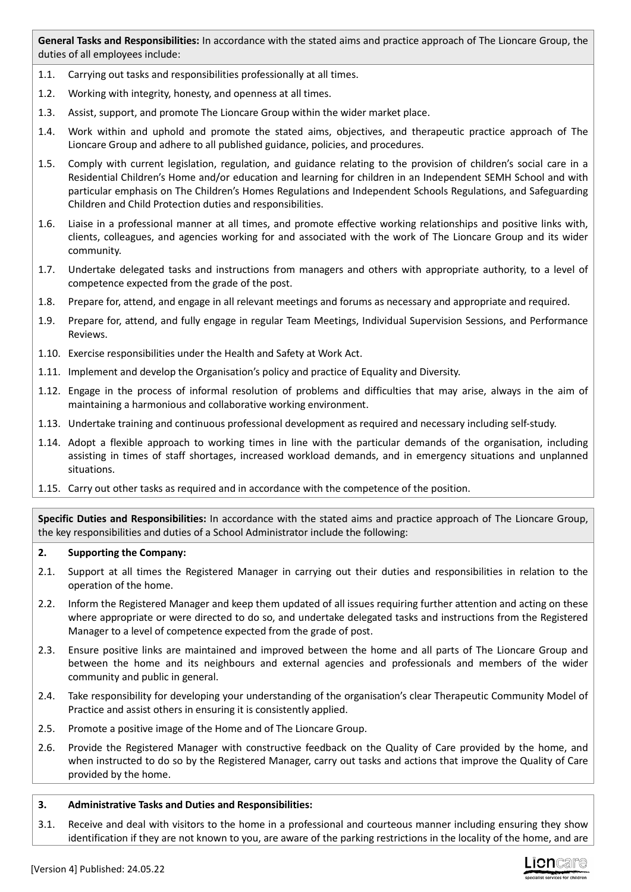**General Tasks and Responsibilities:** In accordance with the stated aims and practice approach of The Lioncare Group, the duties of all employees include:

- 1.1. Carrying out tasks and responsibilities professionally at all times.
- 1.2. Working with integrity, honesty, and openness at all times.
- 1.3. Assist, support, and promote The Lioncare Group within the wider market place.
- 1.4. Work within and uphold and promote the stated aims, objectives, and therapeutic practice approach of The Lioncare Group and adhere to all published guidance, policies, and procedures.
- 1.5. Comply with current legislation, regulation, and guidance relating to the provision of children's social care in a Residential Children's Home and/or education and learning for children in an Independent SEMH School and with particular emphasis on The Children's Homes Regulations and Independent Schools Regulations, and Safeguarding Children and Child Protection duties and responsibilities.
- 1.6. Liaise in a professional manner at all times, and promote effective working relationships and positive links with, clients, colleagues, and agencies working for and associated with the work of The Lioncare Group and its wider community.
- 1.7. Undertake delegated tasks and instructions from managers and others with appropriate authority, to a level of competence expected from the grade of the post.
- 1.8. Prepare for, attend, and engage in all relevant meetings and forums as necessary and appropriate and required.
- 1.9. Prepare for, attend, and fully engage in regular Team Meetings, Individual Supervision Sessions, and Performance Reviews.
- 1.10. Exercise responsibilities under the Health and Safety at Work Act.
- 1.11. Implement and develop the Organisation's policy and practice of Equality and Diversity.
- 1.12. Engage in the process of informal resolution of problems and difficulties that may arise, always in the aim of maintaining a harmonious and collaborative working environment.
- 1.13. Undertake training and continuous professional development as required and necessary including self-study.
- 1.14. Adopt a flexible approach to working times in line with the particular demands of the organisation, including assisting in times of staff shortages, increased workload demands, and in emergency situations and unplanned situations.
- 1.15. Carry out other tasks as required and in accordance with the competence of the position.

**Specific Duties and Responsibilities:** In accordance with the stated aims and practice approach of The Lioncare Group, the key responsibilities and duties of a School Administrator include the following:

#### **2. Supporting the Company:**

- 2.1. Support at all times the Registered Manager in carrying out their duties and responsibilities in relation to the operation of the home.
- 2.2. Inform the Registered Manager and keep them updated of all issues requiring further attention and acting on these where appropriate or were directed to do so, and undertake delegated tasks and instructions from the Registered Manager to a level of competence expected from the grade of post.
- 2.3. Ensure positive links are maintained and improved between the home and all parts of The Lioncare Group and between the home and its neighbours and external agencies and professionals and members of the wider community and public in general.
- 2.4. Take responsibility for developing your understanding of the organisation's clear Therapeutic Community Model of Practice and assist others in ensuring it is consistently applied.
- 2.5. Promote a positive image of the Home and of The Lioncare Group.
- 2.6. Provide the Registered Manager with constructive feedback on the Quality of Care provided by the home, and when instructed to do so by the Registered Manager, carry out tasks and actions that improve the Quality of Care provided by the home.

#### **3. Administrative Tasks and Duties and Responsibilities:**

3.1. Receive and deal with visitors to the home in a professional and courteous manner including ensuring they show identification if they are not known to you, are aware of the parking restrictions in the locality of the home, and are

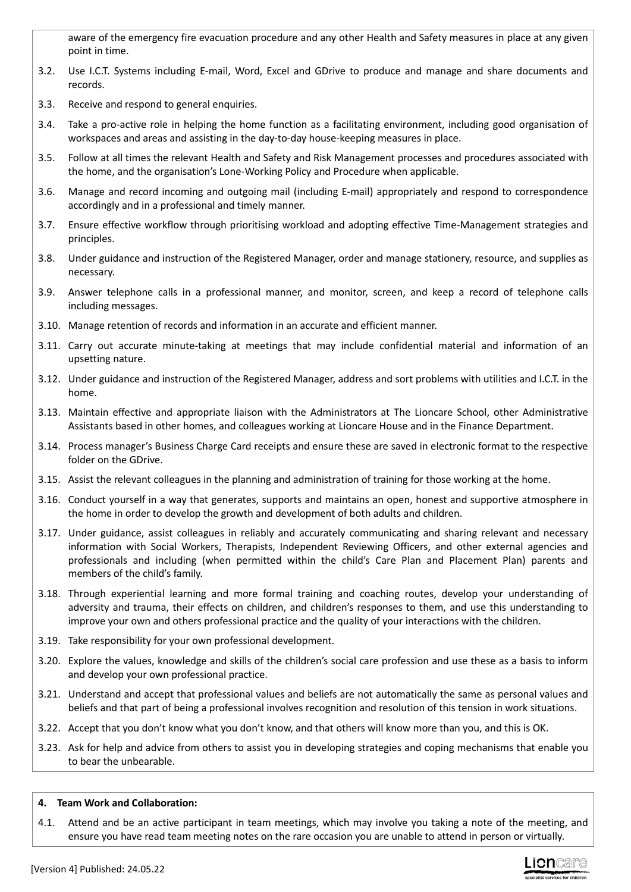aware of the emergency fire evacuation procedure and any other Health and Safety measures in place at any given point in time.

- 3.2. Use I.C.T. Systems including E-mail, Word, Excel and GDrive to produce and manage and share documents and records.
- 3.3. Receive and respond to general enquiries.
- 3.4. Take a pro-active role in helping the home function as a facilitating environment, including good organisation of workspaces and areas and assisting in the day-to-day house-keeping measures in place.
- 3.5. Follow at all times the relevant Health and Safety and Risk Management processes and procedures associated with the home, and the organisation's Lone-Working Policy and Procedure when applicable.
- 3.6. Manage and record incoming and outgoing mail (including E-mail) appropriately and respond to correspondence accordingly and in a professional and timely manner.
- 3.7. Ensure effective workflow through prioritising workload and adopting effective Time-Management strategies and principles.
- 3.8. Under guidance and instruction of the Registered Manager, order and manage stationery, resource, and supplies as necessary.
- 3.9. Answer telephone calls in a professional manner, and monitor, screen, and keep a record of telephone calls including messages.
- 3.10. Manage retention of records and information in an accurate and efficient manner.
- 3.11. Carry out accurate minute-taking at meetings that may include confidential material and information of an upsetting nature.
- 3.12. Under guidance and instruction of the Registered Manager, address and sort problems with utilities and I.C.T. in the home.
- 3.13. Maintain effective and appropriate liaison with the Administrators at The Lioncare School, other Administrative Assistants based in other homes, and colleagues working at Lioncare House and in the Finance Department.
- 3.14. Process manager's Business Charge Card receipts and ensure these are saved in electronic format to the respective folder on the GDrive.
- 3.15. Assist the relevant colleagues in the planning and administration of training for those working at the home.
- 3.16. Conduct yourself in a way that generates, supports and maintains an open, honest and supportive atmosphere in the home in order to develop the growth and development of both adults and children.
- 3.17. Under guidance, assist colleagues in reliably and accurately communicating and sharing relevant and necessary information with Social Workers, Therapists, Independent Reviewing Officers, and other external agencies and professionals and including (when permitted within the child's Care Plan and Placement Plan) parents and members of the child's family.
- 3.18. Through experiential learning and more formal training and coaching routes, develop your understanding of adversity and trauma, their effects on children, and children's responses to them, and use this understanding to improve your own and others professional practice and the quality of your interactions with the children.
- 3.19. Take responsibility for your own professional development.
- 3.20. Explore the values, knowledge and skills of the children's social care profession and use these as a basis to inform and develop your own professional practice.
- 3.21. Understand and accept that professional values and beliefs are not automatically the same as personal values and beliefs and that part of being a professional involves recognition and resolution of this tension in work situations.
- 3.22. Accept that you don't know what you don't know, and that others will know more than you, and this is OK.
- 3.23. Ask for help and advice from others to assist you in developing strategies and coping mechanisms that enable you to bear the unbearable.

## **4. Team Work and Collaboration:**

4.1. Attend and be an active participant in team meetings, which may involve you taking a note of the meeting, and ensure you have read team meeting notes on the rare occasion you are unable to attend in person or virtually.

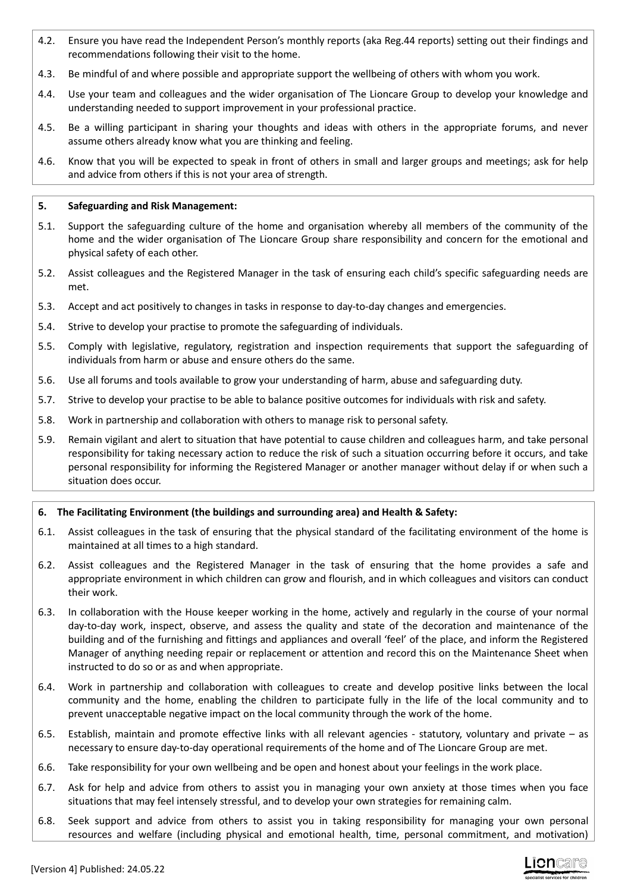- 4.2. Ensure you have read the Independent Person's monthly reports (aka Reg.44 reports) setting out their findings and recommendations following their visit to the home.
- 4.3. Be mindful of and where possible and appropriate support the wellbeing of others with whom you work.
- 4.4. Use your team and colleagues and the wider organisation of The Lioncare Group to develop your knowledge and understanding needed to support improvement in your professional practice.
- 4.5. Be a willing participant in sharing your thoughts and ideas with others in the appropriate forums, and never assume others already know what you are thinking and feeling.
- 4.6. Know that you will be expected to speak in front of others in small and larger groups and meetings; ask for help and advice from others if this is not your area of strength.

### **5. Safeguarding and Risk Management:**

- 5.1. Support the safeguarding culture of the home and organisation whereby all members of the community of the home and the wider organisation of The Lioncare Group share responsibility and concern for the emotional and physical safety of each other.
- 5.2. Assist colleagues and the Registered Manager in the task of ensuring each child's specific safeguarding needs are met.
- 5.3. Accept and act positively to changes in tasks in response to day-to-day changes and emergencies.
- 5.4. Strive to develop your practise to promote the safeguarding of individuals.
- 5.5. Comply with legislative, regulatory, registration and inspection requirements that support the safeguarding of individuals from harm or abuse and ensure others do the same.
- 5.6. Use all forums and tools available to grow your understanding of harm, abuse and safeguarding duty.
- 5.7. Strive to develop your practise to be able to balance positive outcomes for individuals with risk and safety.
- 5.8. Work in partnership and collaboration with others to manage risk to personal safety.
- 5.9. Remain vigilant and alert to situation that have potential to cause children and colleagues harm, and take personal responsibility for taking necessary action to reduce the risk of such a situation occurring before it occurs, and take personal responsibility for informing the Registered Manager or another manager without delay if or when such a situation does occur.

## **6. The Facilitating Environment (the buildings and surrounding area) and Health & Safety:**

- 6.1. Assist colleagues in the task of ensuring that the physical standard of the facilitating environment of the home is maintained at all times to a high standard.
- 6.2. Assist colleagues and the Registered Manager in the task of ensuring that the home provides a safe and appropriate environment in which children can grow and flourish, and in which colleagues and visitors can conduct their work.
- 6.3. In collaboration with the House keeper working in the home, actively and regularly in the course of your normal day-to-day work, inspect, observe, and assess the quality and state of the decoration and maintenance of the building and of the furnishing and fittings and appliances and overall 'feel' of the place, and inform the Registered Manager of anything needing repair or replacement or attention and record this on the Maintenance Sheet when instructed to do so or as and when appropriate.
- 6.4. Work in partnership and collaboration with colleagues to create and develop positive links between the local community and the home, enabling the children to participate fully in the life of the local community and to prevent unacceptable negative impact on the local community through the work of the home.
- 6.5. Establish, maintain and promote effective links with all relevant agencies statutory, voluntary and private as necessary to ensure day-to-day operational requirements of the home and of The Lioncare Group are met.
- 6.6. Take responsibility for your own wellbeing and be open and honest about your feelings in the work place.
- 6.7. Ask for help and advice from others to assist you in managing your own anxiety at those times when you face situations that may feel intensely stressful, and to develop your own strategies for remaining calm.
- 6.8. Seek support and advice from others to assist you in taking responsibility for managing your own personal resources and welfare (including physical and emotional health, time, personal commitment, and motivation)

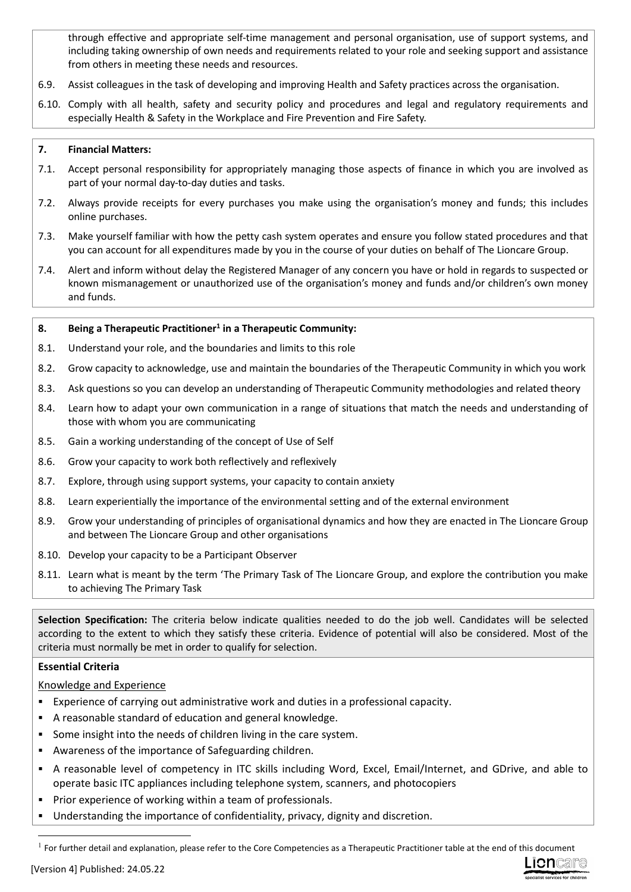through effective and appropriate self-time management and personal organisation, use of support systems, and including taking ownership of own needs and requirements related to your role and seeking support and assistance from others in meeting these needs and resources.

- 6.9. Assist colleagues in the task of developing and improving Health and Safety practices across the organisation.
- 6.10. Comply with all health, safety and security policy and procedures and legal and regulatory requirements and especially Health & Safety in the Workplace and Fire Prevention and Fire Safety.

## **7. Financial Matters:**

- 7.1. Accept personal responsibility for appropriately managing those aspects of finance in which you are involved as part of your normal day-to-day duties and tasks.
- 7.2. Always provide receipts for every purchases you make using the organisation's money and funds; this includes online purchases.
- 7.3. Make yourself familiar with how the petty cash system operates and ensure you follow stated procedures and that you can account for all expenditures made by you in the course of your duties on behalf of The Lioncare Group.
- 7.4. Alert and inform without delay the Registered Manager of any concern you have or hold in regards to suspected or known mismanagement or unauthorized use of the organisation's money and funds and/or children's own money and funds.

## **8. Being a Therapeutic Practitioner<sup>1</sup> in a Therapeutic Community:**

- 8.1. Understand your role, and the boundaries and limits to this role
- 8.2. Grow capacity to acknowledge, use and maintain the boundaries of the Therapeutic Community in which you work
- 8.3. Ask questions so you can develop an understanding of Therapeutic Community methodologies and related theory
- 8.4. Learn how to adapt your own communication in a range of situations that match the needs and understanding of those with whom you are communicating
- 8.5. Gain a working understanding of the concept of Use of Self
- 8.6. Grow your capacity to work both reflectively and reflexively
- 8.7. Explore, through using support systems, your capacity to contain anxiety
- 8.8. Learn experientially the importance of the environmental setting and of the external environment
- 8.9. Grow your understanding of principles of organisational dynamics and how they are enacted in The Lioncare Group and between The Lioncare Group and other organisations
- 8.10. Develop your capacity to be a Participant Observer
- 8.11. Learn what is meant by the term 'The Primary Task of The Lioncare Group, and explore the contribution you make to achieving The Primary Task

**Selection Specification:** The criteria below indicate qualities needed to do the job well. Candidates will be selected according to the extent to which they satisfy these criteria. Evidence of potential will also be considered. Most of the criteria must normally be met in order to qualify for selection.

## **Essential Criteria**

## Knowledge and Experience

- Experience of carrying out administrative work and duties in a professional capacity.
- A reasonable standard of education and general knowledge.
- Some insight into the needs of children living in the care system.
- Awareness of the importance of Safeguarding children.
- A reasonable level of competency in ITC skills including Word, Excel, Email/Internet, and GDrive, and able to operate basic ITC appliances including telephone system, scanners, and photocopiers
- Prior experience of working within a team of professionals.
- Understanding the importance of confidentiality, privacy, dignity and discretion.



 $<sup>1</sup>$  For further detail and explanation, please refer to the Core Competencies as a Therapeutic Practitioner table at the end of this document</sup>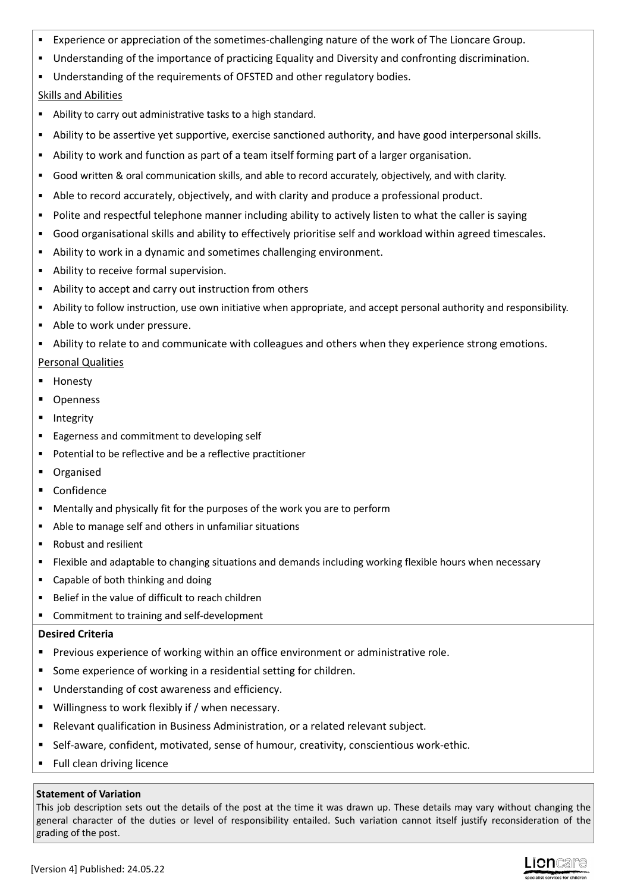- Experience or appreciation of the sometimes-challenging nature of the work of The Lioncare Group.
- Understanding of the importance of practicing Equality and Diversity and confronting discrimination.
- Understanding of the requirements of OFSTED and other regulatory bodies. Skills and Abilities
- Ability to carry out administrative tasks to a high standard.
- Ability to be assertive yet supportive, exercise sanctioned authority, and have good interpersonal skills.
- Ability to work and function as part of a team itself forming part of a larger organisation.
- Good written & oral communication skills, and able to record accurately, objectively, and with clarity.
- Able to record accurately, objectively, and with clarity and produce a professional product.
- Polite and respectful telephone manner including ability to actively listen to what the caller is saying
- Good organisational skills and ability to effectively prioritise self and workload within agreed timescales.
- Ability to work in a dynamic and sometimes challenging environment.
- Ability to receive formal supervision.
- Ability to accept and carry out instruction from others
- Ability to follow instruction, use own initiative when appropriate, and accept personal authority and responsibility.
- Able to work under pressure.
- Ability to relate to and communicate with colleagues and others when they experience strong emotions.

# Personal Qualities

- Honesty
- Openness
- Integrity
- Eagerness and commitment to developing self
- Potential to be reflective and be a reflective practitioner
- **•** Organised
- **-** Confidence
- Mentally and physically fit for the purposes of the work you are to perform
- Able to manage self and others in unfamiliar situations
- Robust and resilient
- Flexible and adaptable to changing situations and demands including working flexible hours when necessary
- Capable of both thinking and doing
- Belief in the value of difficult to reach children
- Commitment to training and self-development

## **Desired Criteria**

- Previous experience of working within an office environment or administrative role.
- Some experience of working in a residential setting for children.
- Understanding of cost awareness and efficiency.
- Willingness to work flexibly if / when necessary.
- Relevant qualification in Business Administration, or a related relevant subject.
- Self-aware, confident, motivated, sense of humour, creativity, conscientious work-ethic.
- **Full clean driving licence**

## **Statement of Variation**

This job description sets out the details of the post at the time it was drawn up. These details may vary without changing the general character of the duties or level of responsibility entailed. Such variation cannot itself justify reconsideration of the grading of the post.